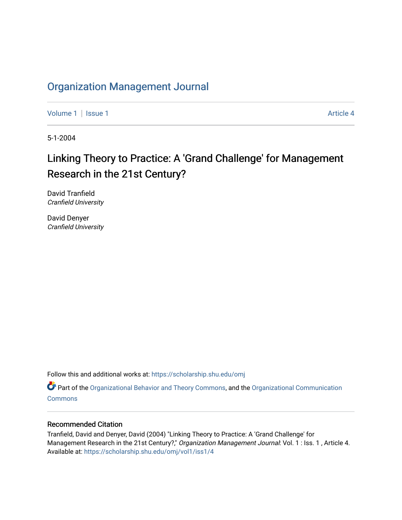# [Organization Management Journal](https://scholarship.shu.edu/omj)

[Volume 1](https://scholarship.shu.edu/omj/vol1) | [Issue 1](https://scholarship.shu.edu/omj/vol1/iss1) Article 4

5-1-2004

# Linking Theory to Practice: A 'Grand Challenge' for Management Research in the 21st Century?

David Tranfield Cranfield University

David Denyer Cranfield University

Follow this and additional works at: [https://scholarship.shu.edu/omj](https://scholarship.shu.edu/omj?utm_source=scholarship.shu.edu%2Fomj%2Fvol1%2Fiss1%2F4&utm_medium=PDF&utm_campaign=PDFCoverPages) 

Part of the [Organizational Behavior and Theory Commons,](http://network.bepress.com/hgg/discipline/639?utm_source=scholarship.shu.edu%2Fomj%2Fvol1%2Fiss1%2F4&utm_medium=PDF&utm_campaign=PDFCoverPages) and the [Organizational Communication](http://network.bepress.com/hgg/discipline/335?utm_source=scholarship.shu.edu%2Fomj%2Fvol1%2Fiss1%2F4&utm_medium=PDF&utm_campaign=PDFCoverPages) **[Commons](http://network.bepress.com/hgg/discipline/335?utm_source=scholarship.shu.edu%2Fomj%2Fvol1%2Fiss1%2F4&utm_medium=PDF&utm_campaign=PDFCoverPages)** 

#### Recommended Citation

Tranfield, David and Denyer, David (2004) "Linking Theory to Practice: A 'Grand Challenge' for Management Research in the 21st Century?," Organization Management Journal: Vol. 1 : Iss. 1, Article 4. Available at: [https://scholarship.shu.edu/omj/vol1/iss1/4](https://scholarship.shu.edu/omj/vol1/iss1/4?utm_source=scholarship.shu.edu%2Fomj%2Fvol1%2Fiss1%2F4&utm_medium=PDF&utm_campaign=PDFCoverPages)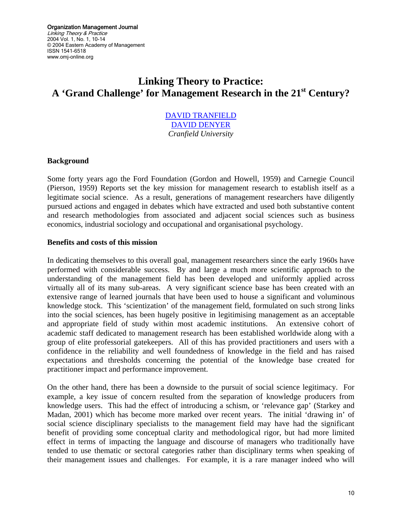Organization Management Journal Linking Theory & Practice 2004 Vol. 1, No. 1, 10-14 © 2004 Eastern Academy of Management ISSN 1541-6518 www.omj-online.org

# **Linking Theory to Practice: A 'Grand Challenge' for Management Research in the 21st Century?**

## [DAVID TRANFIELD](mailto:d.tranfield@cranfield.ac.uk) [DAVID DENYER](mailto:david.denyer@cranfield.ac.uk) *Cranfield University*

#### **Background**

Some forty years ago the Ford Foundation (Gordon and Howell, 1959) and Carnegie Council (Pierson, 1959) Reports set the key mission for management research to establish itself as a legitimate social science. As a result, generations of management researchers have diligently pursued actions and engaged in debates which have extracted and used both substantive content and research methodologies from associated and adjacent social sciences such as business economics, industrial sociology and occupational and organisational psychology.

#### **Benefits and costs of this mission**

In dedicating themselves to this overall goal, management researchers since the early 1960s have performed with considerable success. By and large a much more scientific approach to the understanding of the management field has been developed and uniformly applied across virtually all of its many sub-areas. A very significant science base has been created with an extensive range of learned journals that have been used to house a significant and voluminous knowledge stock. This 'scientization' of the management field, formulated on such strong links into the social sciences, has been hugely positive in legitimising management as an acceptable and appropriate field of study within most academic institutions. An extensive cohort of academic staff dedicated to management research has been established worldwide along with a group of elite professorial gatekeepers. All of this has provided practitioners and users with a confidence in the reliability and well foundedness of knowledge in the field and has raised expectations and thresholds concerning the potential of the knowledge base created for practitioner impact and performance improvement.

On the other hand, there has been a downside to the pursuit of social science legitimacy. For example, a key issue of concern resulted from the separation of knowledge producers from knowledge users. This had the effect of introducing a schism, or 'relevance gap' (Starkey and Madan, 2001) which has become more marked over recent years. The initial 'drawing in' of social science disciplinary specialists to the management field may have had the significant benefit of providing some conceptual clarity and methodological rigor, but had more limited effect in terms of impacting the language and discourse of managers who traditionally have tended to use thematic or sectoral categories rather than disciplinary terms when speaking of their management issues and challenges. For example, it is a rare manager indeed who will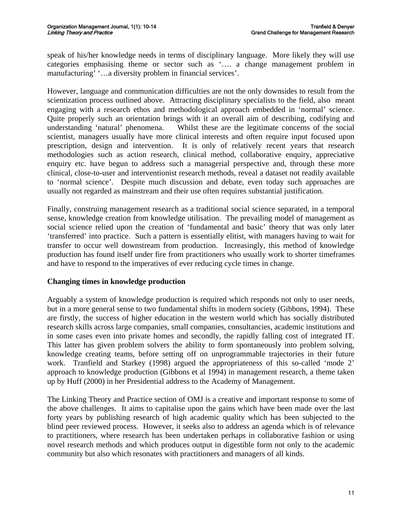speak of his/her knowledge needs in terms of disciplinary language. More likely they will use categories emphasising theme or sector such as '…. a change management problem in manufacturing' '…a diversity problem in financial services'.

However, language and communication difficulties are not the only downsides to result from the scientization process outlined above. Attracting disciplinary specialists to the field, also meant engaging with a research ethos and methodological approach embedded in 'normal' science. Quite properly such an orientation brings with it an overall aim of describing, codifying and understanding 'natural' phenomena. Whilst these are the legitimate concerns of the social scientist, managers usually have more clinical interests and often require input focused upon prescription, design and intervention. It is only of relatively recent years that research methodologies such as action research, clinical method, collaborative enquiry, appreciative enquiry etc. have begun to address such a managerial perspective and, through these more clinical, close-to-user and interventionist research methods, reveal a dataset not readily available to 'normal science'. Despite much discussion and debate, even today such approaches are usually not regarded as mainstream and their use often requires substantial justification.

Finally, construing management research as a traditional social science separated, in a temporal sense, knowledge creation from knowledge utilisation. The prevailing model of management as social science relied upon the creation of 'fundamental and basic' theory that was only later 'transferred' into practice. Such a pattern is essentially elitist, with managers having to wait for transfer to occur well downstream from production. Increasingly, this method of knowledge production has found itself under fire from practitioners who usually work to shorter timeframes and have to respond to the imperatives of ever reducing cycle times in change.

## **Changing times in knowledge production**

Arguably a system of knowledge production is required which responds not only to user needs, but in a more general sense to two fundamental shifts in modern society (Gibbons, 1994). These are firstly, the success of higher education in the western world which has socially distributed research skills across large companies, small companies, consultancies, academic institutions and in some cases even into private homes and secondly, the rapidly falling cost of integrated IT. This latter has given problem solvers the ability to form spontaneously into problem solving, knowledge creating teams, before setting off on unprogrammable trajectories in their future work. Tranfield and Starkey (1998) argued the appropriateness of this so-called 'mode 2' approach to knowledge production (Gibbons et al 1994) in management research, a theme taken up by Huff (2000) in her Presidential address to the Academy of Management.

The Linking Theory and Practice section of OMJ is a creative and important response to some of the above challenges. It aims to capitalise upon the gains which have been made over the last forty years by publishing research of high academic quality which has been subjected to the blind peer reviewed process. However, it seeks also to address an agenda which is of relevance to practitioners, where research has been undertaken perhaps in collaborative fashion or using novel research methods and which produces output in digestible form not only to the academic community but also which resonates with practitioners and managers of all kinds.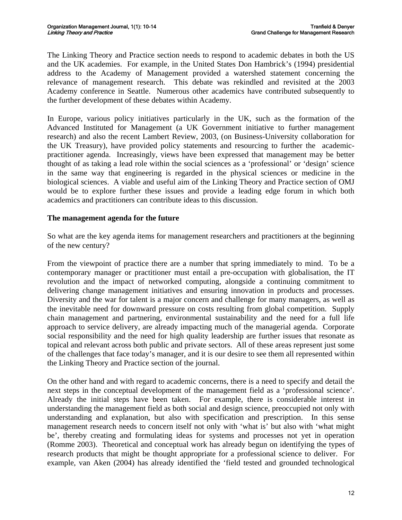The Linking Theory and Practice section needs to respond to academic debates in both the US and the UK academies. For example, in the United States Don Hambrick's (1994) presidential address to the Academy of Management provided a watershed statement concerning the relevance of management research. This debate was rekindled and revisited at the 2003 Academy conference in Seattle. Numerous other academics have contributed subsequently to the further development of these debates within Academy.

In Europe, various policy initiatives particularly in the UK, such as the formation of the Advanced Instituted for Management (a UK Government initiative to further management research) and also the recent Lambert Review, 2003, (on Business-University collaboration for the UK Treasury), have provided policy statements and resourcing to further the academicpractitioner agenda. Increasingly, views have been expressed that management may be better thought of as taking a lead role within the social sciences as a 'professional' or 'design' science in the same way that engineering is regarded in the physical sciences or medicine in the biological sciences. A viable and useful aim of the Linking Theory and Practice section of OMJ would be to explore further these issues and provide a leading edge forum in which both academics and practitioners can contribute ideas to this discussion.

## **The management agenda for the future**

So what are the key agenda items for management researchers and practitioners at the beginning of the new century?

From the viewpoint of practice there are a number that spring immediately to mind. To be a contemporary manager or practitioner must entail a pre-occupation with globalisation, the IT revolution and the impact of networked computing, alongside a continuing commitment to delivering change management initiatives and ensuring innovation in products and processes. Diversity and the war for talent is a major concern and challenge for many managers, as well as the inevitable need for downward pressure on costs resulting from global competition. Supply chain management and partnering, environmental sustainability and the need for a full life approach to service delivery, are already impacting much of the managerial agenda. Corporate social responsibility and the need for high quality leadership are further issues that resonate as topical and relevant across both public and private sectors. All of these areas represent just some of the challenges that face today's manager, and it is our desire to see them all represented within the Linking Theory and Practice section of the journal.

On the other hand and with regard to academic concerns, there is a need to specify and detail the next steps in the conceptual development of the management field as a 'professional science'. Already the initial steps have been taken. For example, there is considerable interest in understanding the management field as both social and design science, preoccupied not only with understanding and explanation, but also with specification and prescription. In this sense management research needs to concern itself not only with 'what is' but also with 'what might be', thereby creating and formulating ideas for systems and processes not yet in operation (Romme 2003). Theoretical and conceptual work has already begun on identifying the types of research products that might be thought appropriate for a professional science to deliver. For example, van Aken (2004) has already identified the 'field tested and grounded technological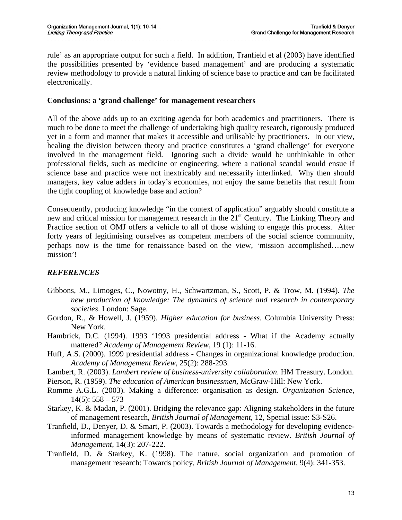rule' as an appropriate output for such a field. In addition, Tranfield et al (2003) have identified the possibilities presented by 'evidence based management' and are producing a systematic review methodology to provide a natural linking of science base to practice and can be facilitated electronically.

#### **Conclusions: a 'grand challenge' for management researchers**

All of the above adds up to an exciting agenda for both academics and practitioners. There is much to be done to meet the challenge of undertaking high quality research, rigorously produced yet in a form and manner that makes it accessible and utilisable by practitioners. In our view, healing the division between theory and practice constitutes a 'grand challenge' for everyone involved in the management field. Ignoring such a divide would be unthinkable in other professional fields, such as medicine or engineering, where a national scandal would ensue if science base and practice were not inextricably and necessarily interlinked. Why then should managers, key value adders in today's economies, not enjoy the same benefits that result from the tight coupling of knowledge base and action?

Consequently, producing knowledge "in the context of application" arguably should constitute a new and critical mission for management research in the 21<sup>st</sup> Century. The Linking Theory and Practice section of OMJ offers a vehicle to all of those wishing to engage this process. After forty years of legitimising ourselves as competent members of the social science community, perhaps now is the time for renaissance based on the view, 'mission accomplished….new mission'!

# *REFERENCES*

- Gibbons, M., Limoges, C., Nowotny, H., Schwartzman, S., Scott, P. & Trow, M. (1994). *The new production of knowledge: The dynamics of science and research in contemporary societies*. London: Sage.
- Gordon, R., & Howell, J. (1959). *Higher education for business*. Columbia University Press: New York.
- Hambrick, D.C. (1994). 1993 '1993 presidential address What if the Academy actually mattered? *Academy of Management Review*, 19 (1): 11-16.
- Huff, A.S. (2000). 1999 presidential address Changes in organizational knowledge production. *Academy of Management Review*, 25(2): 288-293.
- Lambert, R. (2003). *Lambert review of business-university collaboration*. HM Treasury. London.
- Pierson, R. (1959). *The education of American businessmen*, McGraw-Hill: New York.
- Romme A.G.L. (2003). Making a difference: organisation as design. *Organization Science*,  $14(5): 558 - 573$
- Starkey, K. & Madan, P. (2001). Bridging the relevance gap: Aligning stakeholders in the future of management research, *British Journal of Management*, 12, Special issue: S3-S26.
- Tranfield, D., Denyer, D. & Smart, P. (2003). Towards a methodology for developing evidenceinformed management knowledge by means of systematic review. *British Journal of Management*, 14(3): 207-222.
- Tranfield, D. & Starkey, K. (1998). The nature, social organization and promotion of management research: Towards policy, *British Journal of Management*, 9(4): 341-353.